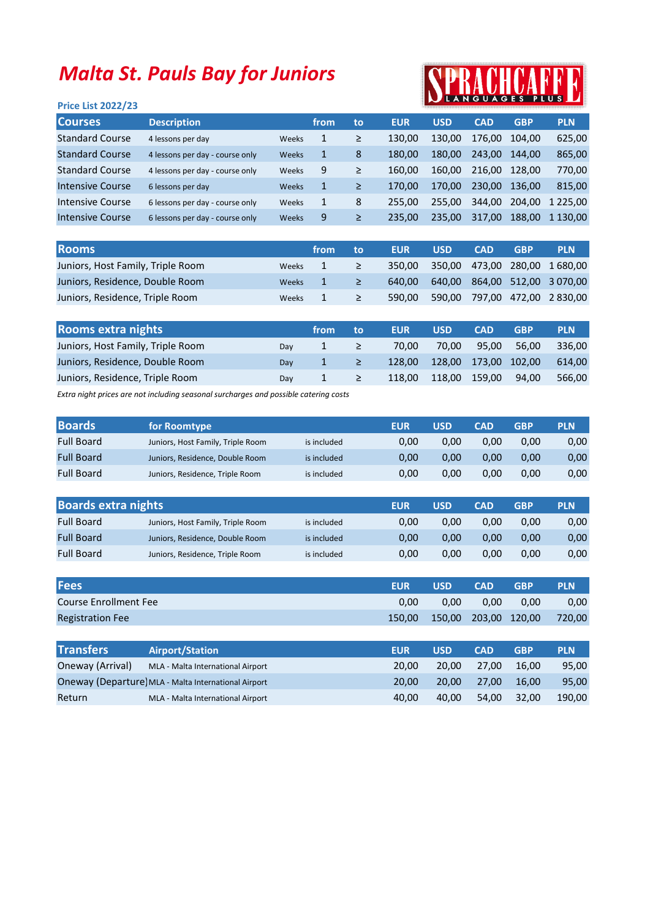## Malta St. Pauls Bay for Juniors

## PLUS

| <b>Price List 2022/23</b> |  |  |  |
|---------------------------|--|--|--|
|---------------------------|--|--|--|

| <b>Courses</b>         | <b>Description</b>              |       | from | to | <b>EUR</b> | <b>USD</b> | <b>CAD</b> | <b>GBP</b> | <b>PLN</b>  |
|------------------------|---------------------------------|-------|------|----|------------|------------|------------|------------|-------------|
| <b>Standard Course</b> | 4 lessons per day               | Weeks | 1    | ≥  | 130.00     | 130.00     | 176.00     | 104.00     | 625,00      |
| <b>Standard Course</b> | 4 lessons per day - course only | Weeks | 1    | 8  | 180.00     | 180.00     | 243.00     | 144.00     | 865,00      |
| <b>Standard Course</b> | 4 lessons per day - course only | Weeks | 9    | ≥  | 160.00     | 160.00     | 216.00     | 128.00     | 770,00      |
| Intensive Course       | 6 lessons per day               | Weeks |      | ≥  | 170.00     | 170.00     | 230.00     | 136.00     | 815.00      |
| Intensive Course       | 6 lessons per day - course only | Weeks | 1    | 8  | 255.00     | 255.00     | 344,00     | 204.00     | 1 2 2 5 .00 |
| Intensive Course       | 6 lessons per day - course only | Weeks | 9    | ≥  | 235.00     | 235.00     | 317.00     | 188,00     | 1 130.00    |

| <b>Rooms</b>                      |              | from | to | <b>EUR</b> | <b>USD</b> | <b>CAD</b> | <b>GBP</b> | <b>PLN</b>                          |
|-----------------------------------|--------------|------|----|------------|------------|------------|------------|-------------------------------------|
| Juniors, Host Family, Triple Room | <b>Weeks</b> |      | ≥  |            |            |            |            | 350,00 350,00 473,00 280,00 1680,00 |
| Juniors, Residence, Double Room   | <b>Weeks</b> |      | ≥  | 640.00     |            |            |            | 640,00 864,00 512,00 3 070,00       |
| Juniors, Residence, Triple Room   | <b>Weeks</b> |      | ≥  | 590.00     |            |            |            | 590,00 797,00 472,00 2830,00        |

| <b>Rooms extra nights</b>         |     | from | to | <b>EUR</b> | <b>USD</b> | <b>CAD</b>    | <b>GBP</b> | <b>PLN</b> |
|-----------------------------------|-----|------|----|------------|------------|---------------|------------|------------|
| Juniors, Host Family, Triple Room | Dav |      |    | 70.00      | 70.00      | 95.00         | 56.00      | 336.00     |
| Juniors, Residence, Double Room   | Dav |      |    | 128.00     | 128.00     | 173,00 102,00 |            | 614.00     |
| Juniors, Residence, Triple Room   | Day |      |    | 118.00     | 118.00     | 159.00        | 94.00      | 566.00     |
|                                   |     |      |    |            |            |               |            |            |

Extra night prices are not including seasonal surcharges and possible catering costs

| <b>Boards</b>     | for Roomtype                      |             | <b>EUR</b> | USD  | <b>CAD</b> | <b>GBP</b> | <b>PLN</b> |
|-------------------|-----------------------------------|-------------|------------|------|------------|------------|------------|
| <b>Full Board</b> | Juniors, Host Family, Triple Room | is included | 0.00       | 0.00 | 0.00       | 0.00       | 0,00       |
| <b>Full Board</b> | Juniors, Residence, Double Room   | is included | 0.00       | 0.00 | 0.00       | 0.00       | 0,00       |
| <b>Full Board</b> | Juniors, Residence, Triple Room   | is included | 0.00       | 0.00 | 0.00       | 0.00       | 0,00       |

| <b>Boards extra nights</b> |                                   |             | <b>EUR</b> | <b>USD</b> | <b>CAD</b> | <b>GBP</b> | <b>PLN</b> |
|----------------------------|-----------------------------------|-------------|------------|------------|------------|------------|------------|
| <b>Full Board</b>          | Juniors, Host Family, Triple Room | is included | 0.00       | 0.00       | 0.00       | 0.00       | 0,00       |
| <b>Full Board</b>          | Juniors, Residence, Double Room   | is included | 0.00       | 0,00       | 0.00       | 0.00       | 0,00       |
| <b>Full Board</b>          | Juniors, Residence, Triple Room   | is included | 0.00       | 0.00       | 0.00       | 0.00       | 0,00       |

| <b>Fees</b>             | <b>EUR</b> | <b>USD</b>           | <b>CAD</b> | <b>GBP</b> | <b>PLN</b> |
|-------------------------|------------|----------------------|------------|------------|------------|
| Course Enrollment Fee   | 0.00       | 0.00                 | 0.00       | 0.00       | 0,00       |
| <b>Registration Fee</b> | 150.00     | 150,00 203,00 120,00 |            |            | 720,00     |

| <b>Transfers</b> | <b>Airport/Station</b>                               | <b>EUR</b> | <b>USD</b>   | <b>CAD</b> | <b>GBP</b> | <b>PLN</b> |
|------------------|------------------------------------------------------|------------|--------------|------------|------------|------------|
| Oneway (Arrival) | MLA - Malta International Airport                    | 20.00      | 20.00        | 27.00      | 16.00      | 95,00      |
|                  | Oneway (Departure) MLA - Malta International Airport | 20.00      | <b>20.00</b> | 27.00      | 16.00      | 95,00      |
| Return           | MLA - Malta International Airport                    | 40.00      | 40.00        | 54.00      | 32.00      | 190.00     |